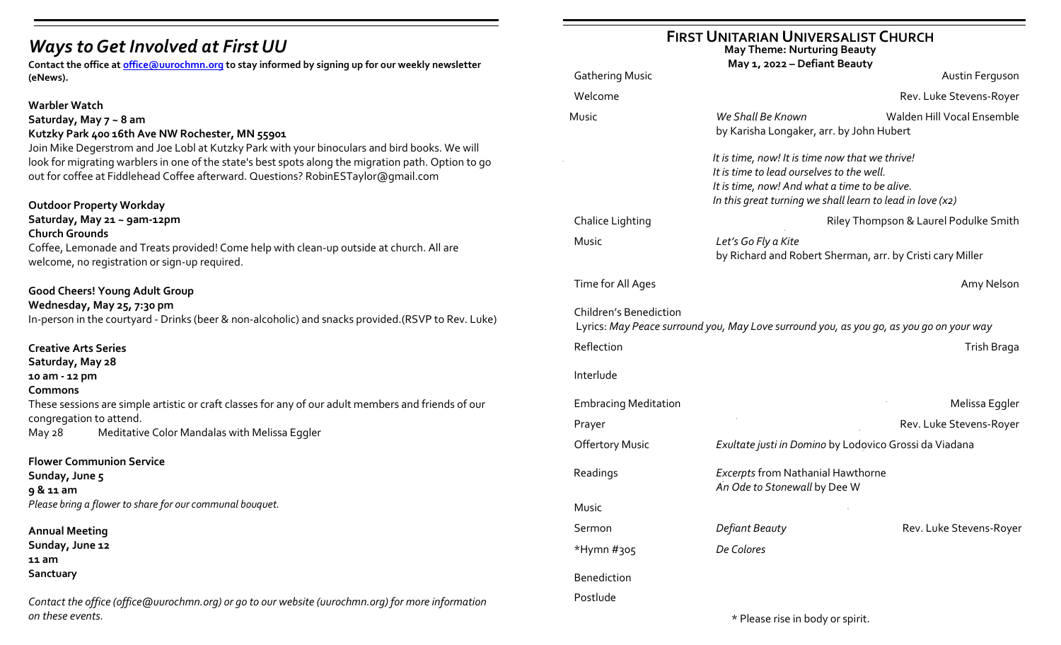# *Ways to Get Involved at First UU*

**Contact the office at [office@uurochmn.org](mailto:office@uurochmn.org) to stay informed by signing up for our weekly newsletter (eNews).**

#### **Warbler Watch**

#### **Saturday, May 7 ~ 8 am Kutzky Park 400 16th Ave NW Rochester, MN 55901**

Join Mike Degerstrom and Joe Lobl at Kutzky Park with your binoculars and bird books. We will look for migrating warblers in one of the state's best spots along the migration path. Option to go out for coffee at Fiddlehead Coffee afterward. Questions? [RobinESTaylor@gmail.com](mailto:RobinESTaylor@gmail.com)

## **Outdoor Property Workday**

**Saturday, May 21 ~ 9am-12pm**

#### **Church Grounds**

Coffee, Lemonade and Treats provided! Come help with clean-up outside at church. All are welcome, no registration or sign-up required.

## **Good Cheers! Young Adult Group**

#### **Wednesday, May 25, 7:30 pm**

In-person in the courtyard - Drinks (beer & non-alcoholic) and snacks provided.(RSVP to Rev. Luke)

## **Creative Arts Series**

**Saturday, May 28** 

#### **10 am - 12 pm**

**Commons**

These sessions are simple artistic or craft classes for any of our adult members and friends of our congregation to attend.

May 28 Meditative Color Mandalas with Melissa Eggler

## **Flower Communion Service**

**Sunday, June 5 9 & 11 am** *Please bring a flower to share for our communal bouquet.*

#### **Annual Meeting**

**Sunday, June 12 11 am Sanctuary**

*Contact the office (office@uurochmn.org) or go to our website (uurochmn.org) for more information on these events.*

## **FIRST UNITARIAN UNIVERSALIST CHURCH**

**May Theme: Nurturing Beauty**

|                               | May 1, 2022 - Defiant Beauty                                                                                                                                                                                                                                                                              |                                       |
|-------------------------------|-----------------------------------------------------------------------------------------------------------------------------------------------------------------------------------------------------------------------------------------------------------------------------------------------------------|---------------------------------------|
| <b>Gathering Music</b>        |                                                                                                                                                                                                                                                                                                           | Austin Ferguson                       |
| Welcome                       |                                                                                                                                                                                                                                                                                                           | Rev. Luke Stevens-Royer               |
| Music                         | Walden Hill Vocal Ensemble<br>We Shall Be Known<br>by Karisha Longaker, arr. by John Hubert<br>It is time, now! It is time now that we thrive!<br>It is time to lead ourselves to the well.<br>It is time, now! And what a time to be alive.<br>In this great turning we shall learn to lead in love (x2) |                                       |
|                               |                                                                                                                                                                                                                                                                                                           |                                       |
| Chalice Lighting              |                                                                                                                                                                                                                                                                                                           | Riley Thompson & Laurel Podulke Smith |
| Music                         | Let's Go Fly a Kite<br>by Richard and Robert Sherman, arr. by Cristi cary Miller                                                                                                                                                                                                                          |                                       |
| Time for All Ages             |                                                                                                                                                                                                                                                                                                           | Amy Nelson                            |
| <b>Children's Benediction</b> | Lyrics: May Peace surround you, May Love surround you, as you go, as you go on your way                                                                                                                                                                                                                   |                                       |
| Reflection                    |                                                                                                                                                                                                                                                                                                           | Trish Braga                           |
| Interlude                     |                                                                                                                                                                                                                                                                                                           |                                       |
| <b>Embracing Meditation</b>   |                                                                                                                                                                                                                                                                                                           | Melissa Eggler                        |
| Prayer                        |                                                                                                                                                                                                                                                                                                           | Rev. Luke Stevens-Royer               |
| <b>Offertory Music</b>        | Exultate justi in Domino by Lodovico Grossi da Viadana                                                                                                                                                                                                                                                    |                                       |
| Readings                      | <b>Excerpts from Nathanial Hawthorne</b><br>An Ode to Stonewall by Dee W                                                                                                                                                                                                                                  |                                       |
| Music                         |                                                                                                                                                                                                                                                                                                           |                                       |
| Sermon                        | Defiant Beauty                                                                                                                                                                                                                                                                                            | Rev. Luke Stevens-Royer               |
| *Hymn #305                    | De Colores                                                                                                                                                                                                                                                                                                |                                       |
| <b>Benediction</b>            |                                                                                                                                                                                                                                                                                                           |                                       |
| Postlude                      |                                                                                                                                                                                                                                                                                                           |                                       |